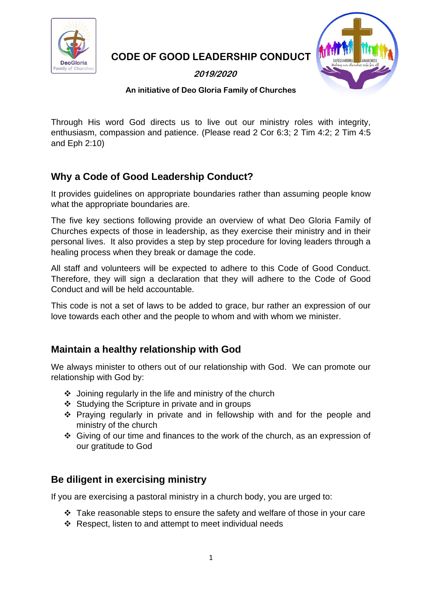

**CODE OF GOOD LEADERSHIP CONDUCT**

**2019/2020**



#### **An initiative of Deo Gloria Family of Churches**

Through His word God directs us to live out our ministry roles with integrity, enthusiasm, compassion and patience. (Please read 2 Cor 6:3; 2 Tim 4:2; 2 Tim 4:5 and Eph 2:10)

# **Why a Code of Good Leadership Conduct?**

It provides guidelines on appropriate boundaries rather than assuming people know what the appropriate boundaries are.

The five key sections following provide an overview of what Deo Gloria Family of Churches expects of those in leadership, as they exercise their ministry and in their personal lives. It also provides a step by step procedure for loving leaders through a healing process when they break or damage the code.

All staff and volunteers will be expected to adhere to this Code of Good Conduct. Therefore, they will sign a declaration that they will adhere to the Code of Good Conduct and will be held accountable.

This code is not a set of laws to be added to grace, bur rather an expression of our love towards each other and the people to whom and with whom we minister.

### **Maintain a healthy relationship with God**

We always minister to others out of our relationship with God. We can promote our relationship with God by:

- ❖ Joining regularly in the life and ministry of the church
- ❖ Studying the Scripture in private and in groups
- ❖ Praying regularly in private and in fellowship with and for the people and ministry of the church
- ❖ Giving of our time and finances to the work of the church, as an expression of our gratitude to God

# **Be diligent in exercising ministry**

If you are exercising a pastoral ministry in a church body, you are urged to:

- ❖ Take reasonable steps to ensure the safety and welfare of those in your care
- ❖ Respect, listen to and attempt to meet individual needs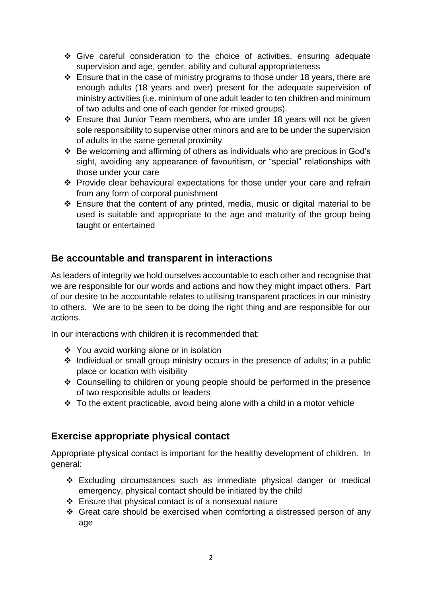- ❖ Give careful consideration to the choice of activities, ensuring adequate supervision and age, gender, ability and cultural appropriateness
- ❖ Ensure that in the case of ministry programs to those under 18 years, there are enough adults (18 years and over) present for the adequate supervision of ministry activities (i.e. minimum of one adult leader to ten children and minimum of two adults and one of each gender for mixed groups).
- ❖ Ensure that Junior Team members, who are under 18 years will not be given sole responsibility to supervise other minors and are to be under the supervision of adults in the same general proximity
- ❖ Be welcoming and affirming of others as individuals who are precious in God's sight, avoiding any appearance of favouritism, or "special" relationships with those under your care
- ❖ Provide clear behavioural expectations for those under your care and refrain from any form of corporal punishment
- ❖ Ensure that the content of any printed, media, music or digital material to be used is suitable and appropriate to the age and maturity of the group being taught or entertained

## **Be accountable and transparent in interactions**

As leaders of integrity we hold ourselves accountable to each other and recognise that we are responsible for our words and actions and how they might impact others. Part of our desire to be accountable relates to utilising transparent practices in our ministry to others. We are to be seen to be doing the right thing and are responsible for our actions.

In our interactions with children it is recommended that:

- ❖ You avoid working alone or in isolation
- ❖ Individual or small group ministry occurs in the presence of adults; in a public place or location with visibility
- ❖ Counselling to children or young people should be performed in the presence of two responsible adults or leaders
- $\div$  To the extent practicable, avoid being alone with a child in a motor vehicle

### **Exercise appropriate physical contact**

Appropriate physical contact is important for the healthy development of children. In general:

- ❖ Excluding circumstances such as immediate physical danger or medical emergency, physical contact should be initiated by the child
- ❖ Ensure that physical contact is of a nonsexual nature
- ❖ Great care should be exercised when comforting a distressed person of any age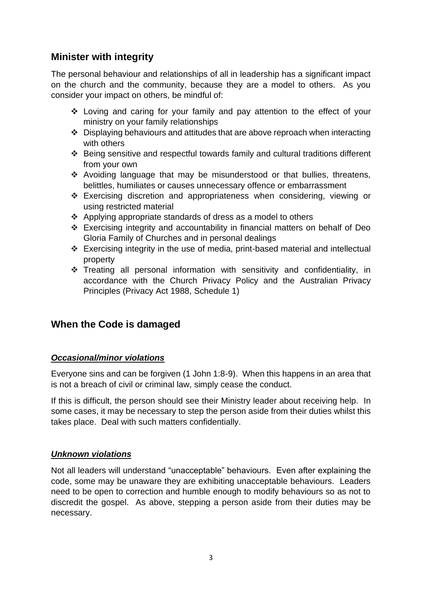### **Minister with integrity**

The personal behaviour and relationships of all in leadership has a significant impact on the church and the community, because they are a model to others. As you consider your impact on others, be mindful of:

- ❖ Loving and caring for your family and pay attention to the effect of your ministry on your family relationships
- ❖ Displaying behaviours and attitudes that are above reproach when interacting with others
- ❖ Being sensitive and respectful towards family and cultural traditions different from your own
- ❖ Avoiding language that may be misunderstood or that bullies, threatens, belittles, humiliates or causes unnecessary offence or embarrassment
- ❖ Exercising discretion and appropriateness when considering, viewing or using restricted material
- ❖ Applying appropriate standards of dress as a model to others
- ❖ Exercising integrity and accountability in financial matters on behalf of Deo Gloria Family of Churches and in personal dealings
- ❖ Exercising integrity in the use of media, print-based material and intellectual property
- ❖ Treating all personal information with sensitivity and confidentiality, in accordance with the Church Privacy Policy and the Australian Privacy Principles (Privacy Act 1988, Schedule 1)

### **When the Code is damaged**

#### *Occasional/minor violations*

Everyone sins and can be forgiven (1 John 1:8-9). When this happens in an area that is not a breach of civil or criminal law, simply cease the conduct.

If this is difficult, the person should see their Ministry leader about receiving help. In some cases, it may be necessary to step the person aside from their duties whilst this takes place. Deal with such matters confidentially.

#### *Unknown violations*

Not all leaders will understand "unacceptable" behaviours. Even after explaining the code, some may be unaware they are exhibiting unacceptable behaviours. Leaders need to be open to correction and humble enough to modify behaviours so as not to discredit the gospel. As above, stepping a person aside from their duties may be necessary.